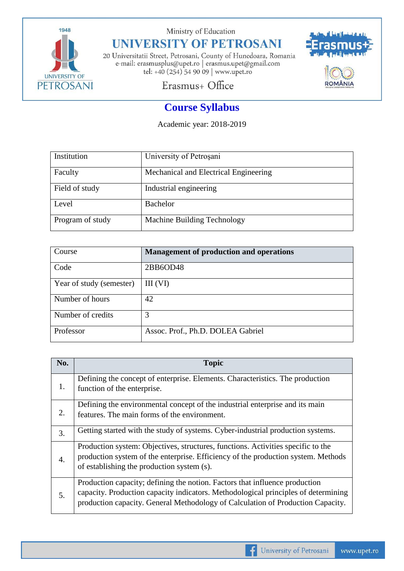

Ministry of Education

## **UNIVERSITY OF PETROSANI**

20 Universitatii Street, Petrosani, County of Hunedoara, Romania e-mail: erasmusplus@upet.ro $\mid$ erasmus.upet@gmail.com tel: +40 (254) 54 90 09 | www.upet.ro



Erasmus+ Office

## **Course Syllabus**

Academic year: 2018-2019

| Institution      | University of Petrosani               |
|------------------|---------------------------------------|
| Faculty          | Mechanical and Electrical Engineering |
| Field of study   | Industrial engineering                |
| Level            | <b>Bachelor</b>                       |
| Program of study | Machine Building Technology           |

| Course                   | <b>Management of production and operations</b> |
|--------------------------|------------------------------------------------|
| Code                     | 2BB6OD48                                       |
| Year of study (semester) | III (VI)                                       |
| Number of hours          | 42                                             |
| Number of credits        | 3                                              |
| Professor                | Assoc. Prof., Ph.D. DOLEA Gabriel              |

| No. | <b>Topic</b>                                                                                                                                                                                                                                         |
|-----|------------------------------------------------------------------------------------------------------------------------------------------------------------------------------------------------------------------------------------------------------|
| 1.  | Defining the concept of enterprise. Elements. Characteristics. The production<br>function of the enterprise.                                                                                                                                         |
| 2.  | Defining the environmental concept of the industrial enterprise and its main<br>features. The main forms of the environment.                                                                                                                         |
| 3.  | Getting started with the study of systems. Cyber-industrial production systems.                                                                                                                                                                      |
| 4.  | Production system: Objectives, structures, functions. Activities specific to the<br>production system of the enterprise. Efficiency of the production system. Methods<br>of establishing the production system (s).                                  |
| 5.  | Production capacity; defining the notion. Factors that influence production<br>capacity. Production capacity indicators. Methodological principles of determining<br>production capacity. General Methodology of Calculation of Production Capacity. |